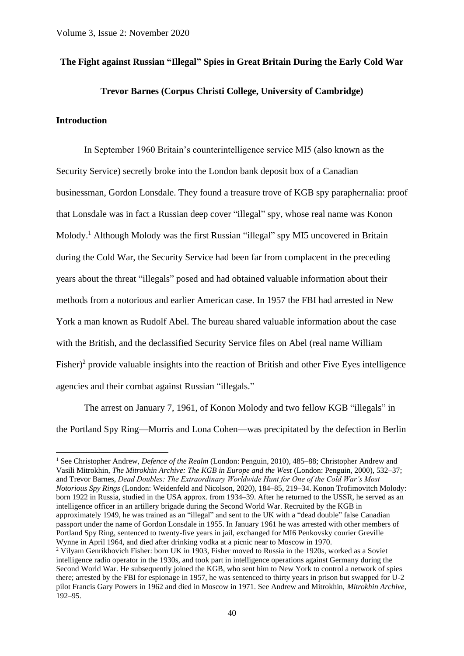## **The Fight against Russian "Illegal" Spies in Great Britain During the Early Cold War**

## **Trevor Barnes (Corpus Christi College, University of Cambridge)**

## **Introduction**

In September 1960 Britain's counterintelligence service MI5 (also known as the Security Service) secretly broke into the London bank deposit box of a Canadian businessman, Gordon Lonsdale. They found a treasure trove of KGB spy paraphernalia: proof that Lonsdale was in fact a Russian deep cover "illegal" spy, whose real name was Konon Molody.<sup>1</sup> Although Molody was the first Russian "illegal" spy MI5 uncovered in Britain during the Cold War, the Security Service had been far from complacent in the preceding years about the threat "illegals" posed and had obtained valuable information about their methods from a notorious and earlier American case. In 1957 the FBI had arrested in New York a man known as Rudolf Abel. The bureau shared valuable information about the case with the British, and the declassified Security Service files on Abel (real name William Fisher)<sup>2</sup> provide valuable insights into the reaction of British and other Five Eyes intelligence agencies and their combat against Russian "illegals."

The arrest on January 7, 1961, of Konon Molody and two fellow KGB "illegals" in the Portland Spy Ring—Morris and Lona Cohen—was precipitated by the defection in Berlin

<sup>1</sup> See Christopher Andrew, *Defence of the Realm* (London: Penguin, 2010), 485–88; Christopher Andrew and Vasili Mitrokhin, *The Mitrokhin Archive: The KGB in Europe and the West* (London: Penguin, 2000), 532–37; and Trevor Barnes, *Dead Doubles: The Extraordinary Worldwide Hunt for One of the Cold War's Most Notorious Spy Rings* (London: Weidenfeld and Nicolson, 2020), 184–85, 219–34. Konon Trofimovitch Molody: born 1922 in Russia, studied in the USA approx. from 1934–39. After he returned to the USSR, he served as an intelligence officer in an artillery brigade during the Second World War. Recruited by the KGB in approximately 1949, he was trained as an "illegal" and sent to the UK with a "dead double" false Canadian passport under the name of Gordon Lonsdale in 1955. In January 1961 he was arrested with other members of Portland Spy Ring, sentenced to twenty-five years in jail, exchanged for MI6 Penkovsky courier Greville Wynne in April 1964, and died after drinking vodka at a picnic near to Moscow in 1970.

<sup>2</sup> Vilyam Genrikhovich Fisher: born UK in 1903, Fisher moved to Russia in the 1920s, worked as a Soviet intelligence radio operator in the 1930s, and took part in intelligence operations against Germany during the Second World War. He subsequently joined the KGB, who sent him to New York to control a network of spies there; arrested by the FBI for espionage in 1957, he was sentenced to thirty years in prison but swapped for U-2 pilot Francis Gary Powers in 1962 and died in Moscow in 1971. See Andrew and Mitrokhin, *Mitrokhin Archive*, 192–95.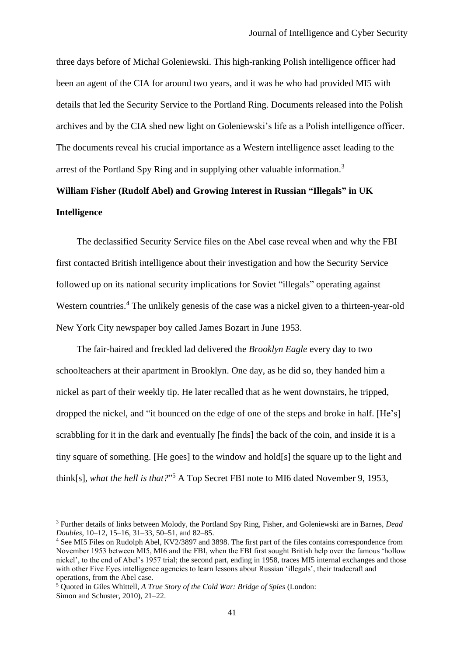three days before of Michał Goleniewski. This high-ranking Polish intelligence officer had been an agent of the CIA for around two years, and it was he who had provided MI5 with details that led the Security Service to the Portland Ring. Documents released into the Polish archives and by the CIA shed new light on Goleniewski's life as a Polish intelligence officer. The documents reveal his crucial importance as a Western intelligence asset leading to the arrest of the Portland Spy Ring and in supplying other valuable information.<sup>3</sup>

# **William Fisher (Rudolf Abel) and Growing Interest in Russian "Illegals" in UK Intelligence**

The declassified Security Service files on the Abel case reveal when and why the FBI first contacted British intelligence about their investigation and how the Security Service followed up on its national security implications for Soviet "illegals" operating against Western countries.<sup>4</sup> The unlikely genesis of the case was a nickel given to a thirteen-year-old New York City newspaper boy called James Bozart in June 1953.

The fair-haired and freckled lad delivered the *Brooklyn Eagle* every day to two schoolteachers at their apartment in Brooklyn. One day, as he did so, they handed him a nickel as part of their weekly tip. He later recalled that as he went downstairs, he tripped, dropped the nickel, and "it bounced on the edge of one of the steps and broke in half. [He's] scrabbling for it in the dark and eventually [he finds] the back of the coin, and inside it is a tiny square of something. [He goes] to the window and hold[s] the square up to the light and think[s], *what the hell is that?*" <sup>5</sup> A Top Secret FBI note to MI6 dated November 9, 1953,

<sup>3</sup> Further details of links between Molody, the Portland Spy Ring, Fisher, and Goleniewski are in Barnes, *Dead Doubles*, 10–12, 15–16, 31–33, 50–51, and 82–85.

<sup>4</sup> See MI5 Files on Rudolph Abel, KV2/3897 and 3898. The first part of the files contains correspondence from November 1953 between MI5, MI6 and the FBI, when the FBI first sought British help over the famous 'hollow nickel', to the end of Abel's 1957 trial; the second part, ending in 1958, traces MI5 internal exchanges and those with other Five Eyes intelligence agencies to learn lessons about Russian 'illegals', their tradecraft and operations, from the Abel case.

<sup>5</sup> Quoted in Giles Whittell, *A True Story of the Cold War: Bridge of Spies* (London: Simon and Schuster, 2010), 21–22.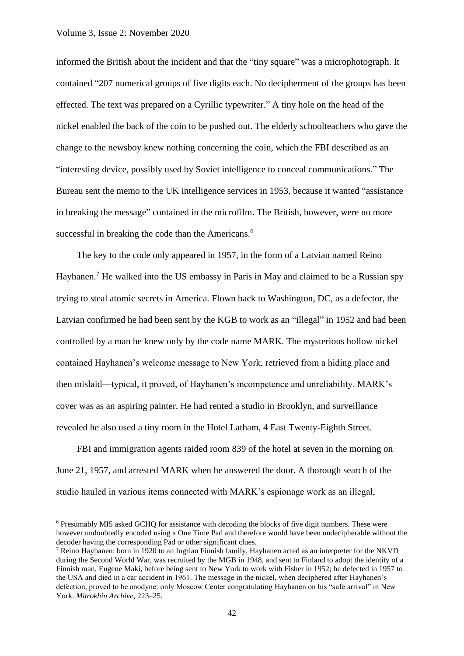informed the British about the incident and that the "tiny square" was a microphotograph. It contained "207 numerical groups of five digits each. No decipherment of the groups has been effected. The text was prepared on a Cyrillic typewriter." A tiny hole on the head of the nickel enabled the back of the coin to be pushed out. The elderly schoolteachers who gave the change to the newsboy knew nothing concerning the coin, which the FBI described as an "interesting device, possibly used by Soviet intelligence to conceal communications." The Bureau sent the memo to the UK intelligence services in 1953, because it wanted "assistance in breaking the message" contained in the microfilm. The British, however, were no more successful in breaking the code than the Americans.<sup>6</sup>

The key to the code only appeared in 1957, in the form of a Latvian named Reino Hayhanen.<sup>7</sup> He walked into the US embassy in Paris in May and claimed to be a Russian spy trying to steal atomic secrets in America. Flown back to Washington, DC, as a defector, the Latvian confirmed he had been sent by the KGB to work as an "illegal" in 1952 and had been controlled by a man he knew only by the code name MARK. The mysterious hollow nickel contained Hayhanen's welcome message to New York, retrieved from a hiding place and then mislaid—typical, it proved, of Hayhanen's incompetence and unreliability. MARK's cover was as an aspiring painter. He had rented a studio in Brooklyn, and surveillance revealed he also used a tiny room in the Hotel Latham, 4 East Twenty-Eighth Street.

FBI and immigration agents raided room 839 of the hotel at seven in the morning on June 21, 1957, and arrested MARK when he answered the door. A thorough search of the studio hauled in various items connected with MARK's espionage work as an illegal,

<sup>6</sup> Presumably MI5 asked GCHQ for assistance with decoding the blocks of five digit numbers. These were however undoubtedly encoded using a One Time Pad and therefore would have been undecipherable without the decoder having the corresponding Pad or other significant clues.

<sup>7</sup> Reino Hayhanen: born in 1920 to an Ingrian Finnish family, Hayhanen acted as an interpreter for the NKVD during the Second World War, was recruited by the MGB in 1948, and sent to Finland to adopt the identity of a Finnish man, Eugene Maki, before being sent to New York to work with Fisher in 1952; he defected in 1957 to the USA and died in a car accident in 1961. The message in the nickel, when deciphered after Hayhanen's defection, proved to be anodyne: only Moscow Center congratulating Hayhanen on his "safe arrival" in New York. *Mitrokhin Archive*, 223–25.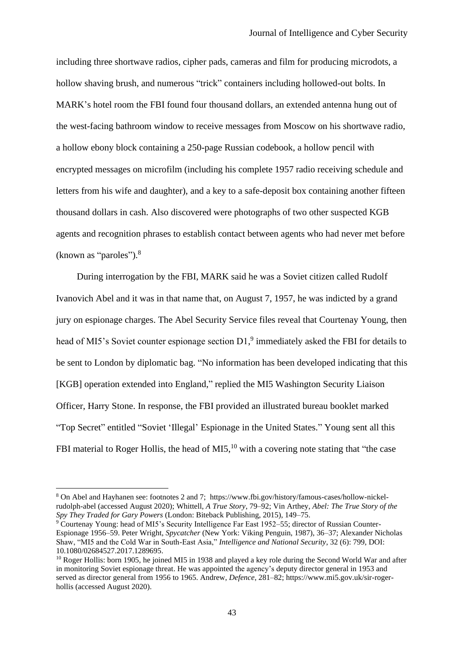including three [shortwave radios,](about:blank) cipher pads, cameras and film for producing [microdots,](about:blank) a hollow shaving brush, and numerous "trick" containers including hollowed-out bolts. In MARK's hotel room the FBI found four thousand dollars, an extended antenna hung out of the west-facing bathroom window to receive messages from Moscow on his shortwave radio, a hollow ebony block containing a 250-page Russian codebook, a hollow pencil with encrypted messages on microfilm (including his complete 1957 radio receiving schedule and letters from his wife and daughter), and a key to a safe-deposit box containing another fifteen thousand dollars in cash. Also discovered were photographs of two other suspected KGB agents and recognition phrases to establish contact between agents who had never met before (known as "paroles").<sup>8</sup>

During interrogation by the FBI, MARK said he was a Soviet citizen called Rudolf Ivanovich Abel and it was in that name that, on August 7, 1957, he was indicted by a grand jury on espionage charges. The Abel Security Service files reveal that Courtenay Young, then head of MI5's Soviet counter espionage section  $D1<sup>9</sup>$  immediately asked the FBI for details to be sent to London by diplomatic bag. "No information has been developed indicating that this [KGB] operation extended into England," replied the MI5 Washington Security Liaison Officer, Harry Stone. In response, the FBI provided an illustrated bureau booklet marked "Top Secret" entitled "Soviet 'Illegal' Espionage in the United States." Young sent all this FBI material to Roger Hollis, the head of MI5, $^{10}$  with a covering note stating that "the case

<sup>8</sup> On Abel and Hayhanen see: footnotes 2 and 7; https://www.fbi.gov/history/famous-cases/hollow-nickelrudolph-abel (accessed August 2020); [Whittell,](about:blank) *A True Story*, 79–92; Vin Arthey, *[Abel: The True Story of the](https://en.wikipedia.org/wiki/Bridge_of_Spies_(book))  Spy They Traded for Gary Powers* [\(London: Biteback Publishing, 2015\), 149–75.](https://en.wikipedia.org/wiki/Bridge_of_Spies_(book))

<sup>&</sup>lt;sup>9</sup> Courtenay Young: head of MI5's Security Intelligence Far East 1952–55; director of Russian Counter-Espionage 1956–59. Peter Wright, *Spycatcher* (New York: Viking Penguin, 1987), 36–37; Alexander Nicholas Shaw, "MI5 and the Cold War in South-East Asia," *Intelligence and National Security*, 32 (6): 799, DOI: 10.1080/02684527.2017.1289695.

<sup>&</sup>lt;sup>10</sup> Roger Hollis: born 1905, he joined MI5 in 1938 and played a key role during the Second World War and after in monitoring Soviet espionage threat. He was appointed the agency's deputy director general in 1953 and served as director general from 1956 to 1965. Andrew, *Defence*, 281–82; https://www.mi5.gov.uk/sir-rogerhollis (accessed August 2020).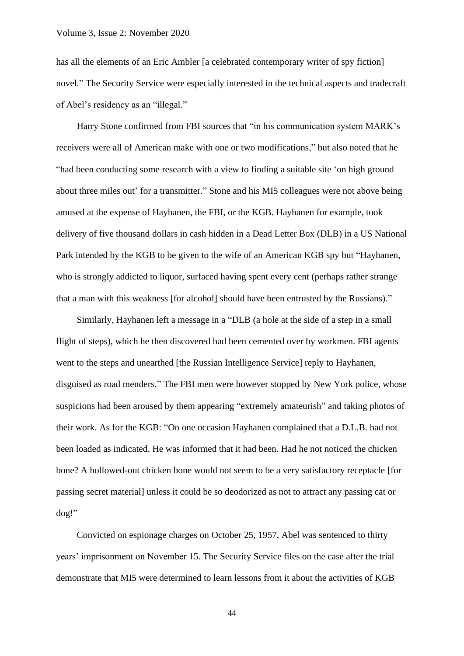has all the elements of an Eric Ambler [a celebrated contemporary writer of spy fiction] novel." The Security Service were especially interested in the technical aspects and tradecraft of Abel's residency as an "illegal."

Harry Stone confirmed from FBI sources that "in his communication system MARK's receivers were all of American make with one or two modifications," but also noted that he "had been conducting some research with a view to finding a suitable site 'on high ground about three miles out' for a transmitter." Stone and his MI5 colleagues were not above being amused at the expense of Hayhanen, the FBI, or the KGB. Hayhanen for example, took delivery of five thousand dollars in cash hidden in a Dead Letter Box (DLB) in a US National Park intended by the KGB to be given to the wife of an American KGB spy but "Hayhanen, who is strongly addicted to liquor, surfaced having spent every cent (perhaps rather strange that a man with this weakness [for alcohol] should have been entrusted by the Russians)."

Similarly, Hayhanen left a message in a "DLB (a hole at the side of a step in a small flight of steps), which he then discovered had been cemented over by workmen. FBI agents went to the steps and unearthed [the Russian Intelligence Service] reply to Hayhanen, disguised as road menders." The FBI men were however stopped by New York police, whose suspicions had been aroused by them appearing "extremely amateurish" and taking photos of their work. As for the KGB: "On one occasion Hayhanen complained that a D.L.B. had not been loaded as indicated. He was informed that it had been. Had he not noticed the chicken bone? A hollowed-out chicken bone would not seem to be a very satisfactory receptacle [for passing secret material] unless it could be so deodorized as not to attract any passing cat or dog!"

Convicted on espionage charges on October 25, 1957, Abel was sentenced to thirty years' imprisonment on November 15. The Security Service files on the case after the trial demonstrate that MI5 were determined to learn lessons from it about the activities of KGB

44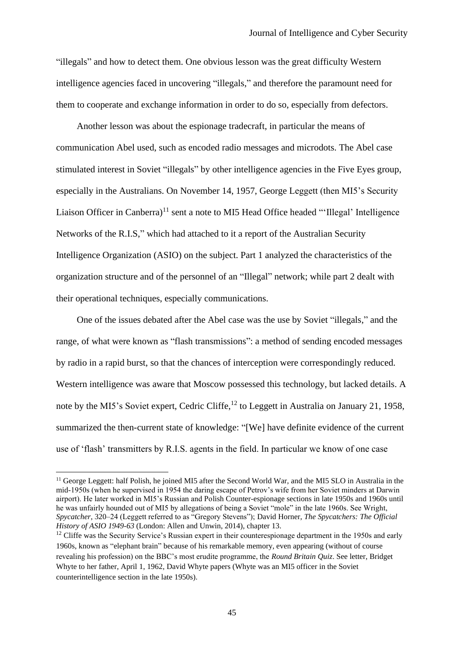"illegals" and how to detect them. One obvious lesson was the great difficulty Western intelligence agencies faced in uncovering "illegals," and therefore the paramount need for them to cooperate and exchange information in order to do so, especially from defectors.

Another lesson was about the espionage tradecraft, in particular the means of communication Abel used, such as encoded radio messages and microdots. The Abel case stimulated interest in Soviet "illegals" by other intelligence agencies in the Five Eyes group, especially in the Australians. On November 14, 1957, George Leggett (then MI5's Security Liaison Officer in Canberra)<sup>11</sup> sent a note to MI5 Head Office headed "'Illegal' Intelligence Networks of the R.I.S," which had attached to it a report of the Australian Security Intelligence Organization (ASIO) on the subject. Part 1 analyzed the characteristics of the organization structure and of the personnel of an "Illegal" network; while part 2 dealt with their operational techniques, especially communications.

One of the issues debated after the Abel case was the use by Soviet "illegals," and the range, of what were known as "flash transmissions": a method of sending encoded messages by radio in a rapid burst, so that the chances of interception were correspondingly reduced. Western intelligence was aware that Moscow possessed this technology, but lacked details. A note by the MI5's Soviet expert, Cedric Cliffe,<sup>12</sup> to Leggett in Australia on January 21, 1958, summarized the then-current state of knowledge: "[We] have definite evidence of the current use of 'flash' transmitters by R.I.S. agents in the field. In particular we know of one case

<sup>&</sup>lt;sup>11</sup> George Leggett: half Polish, he joined MI5 after the Second World War, and the MI5 SLO in Australia in the mid-1950s (when he supervised in 1954 the daring escape of Petrov's wife from her Soviet minders at Darwin airport). He later worked in MI5's Russian and Polish Counter-espionage sections in late 1950s and 1960s until he was unfairly hounded out of MI5 by allegations of being a Soviet "mole" in the late 1960s. See Wright, *Spycatcher*, 320–24 (Leggett referred to as "Gregory Stevens"); David Horner, *The Spycatchers: The Official History of ASIO 1949-63* (London: Allen and Unwin, 2014), chapter 13.

 $12$  Cliffe was the Security Service's Russian expert in their counterespionage department in the 1950s and early 1960s, known as "elephant brain" because of his remarkable memory, even appearing (without of course revealing his profession) on the BBC's most erudite programme, the *Round Britain Quiz*. See letter, Bridget Whyte to her father, April 1, 1962, David Whyte papers (Whyte was an MI5 officer in the Soviet counterintelligence section in the late 1950s).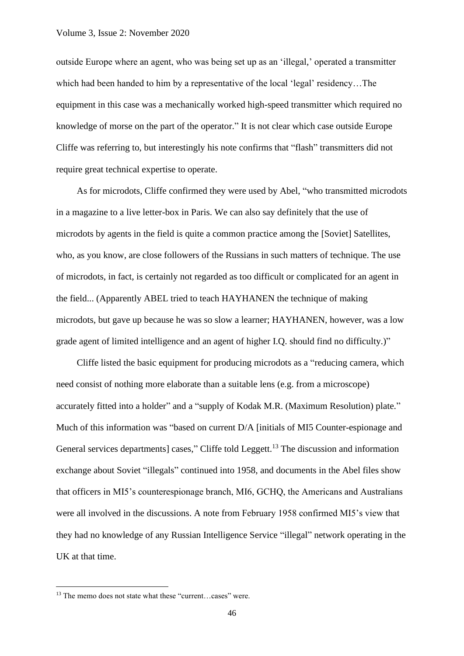outside Europe where an agent, who was being set up as an 'illegal,' operated a transmitter which had been handed to him by a representative of the local 'legal' residency…The equipment in this case was a mechanically worked high-speed transmitter which required no knowledge of morse on the part of the operator." It is not clear which case outside Europe Cliffe was referring to, but interestingly his note confirms that "flash" transmitters did not require great technical expertise to operate.

As for microdots, Cliffe confirmed they were used by Abel, "who transmitted microdots in a magazine to a live letter-box in Paris. We can also say definitely that the use of microdots by agents in the field is quite a common practice among the [Soviet] Satellites, who, as you know, are close followers of the Russians in such matters of technique. The use of microdots, in fact, is certainly not regarded as too difficult or complicated for an agent in the field... (Apparently ABEL tried to teach HAYHANEN the technique of making microdots, but gave up because he was so slow a learner; HAYHANEN, however, was a low grade agent of limited intelligence and an agent of higher I.Q. should find no difficulty.)"

Cliffe listed the basic equipment for producing microdots as a "reducing camera, which need consist of nothing more elaborate than a suitable lens (e.g. from a microscope) accurately fitted into a holder" and a "supply of Kodak M.R. (Maximum Resolution) plate." Much of this information was "based on current D/A [initials of MI5 Counter-espionage and General services departments] cases," Cliffe told Leggett.<sup>13</sup> The discussion and information exchange about Soviet "illegals" continued into 1958, and documents in the Abel files show that officers in MI5's counterespionage branch, MI6, GCHQ, the Americans and Australians were all involved in the discussions. A note from February 1958 confirmed MI5's view that they had no knowledge of any Russian Intelligence Service "illegal" network operating in the UK at that time.

<sup>&</sup>lt;sup>13</sup> The memo does not state what these "current...cases" were.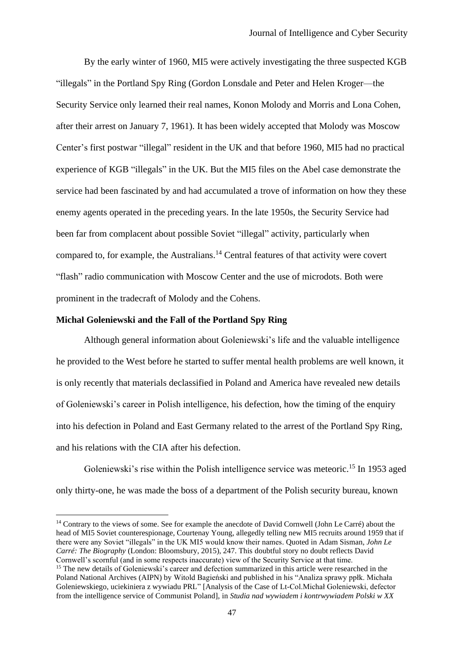By the early winter of 1960, MI5 were actively investigating the three suspected KGB "illegals" in the Portland Spy Ring (Gordon Lonsdale and Peter and Helen Kroger—the Security Service only learned their real names, Konon Molody and Morris and Lona Cohen, after their arrest on January 7, 1961). It has been widely accepted that Molody was Moscow Center's first postwar "illegal" resident in the UK and that before 1960, MI5 had no practical experience of KGB "illegals" in the UK. But the MI5 files on the Abel case demonstrate the service had been fascinated by and had accumulated a trove of information on how they these enemy agents operated in the preceding years. In the late 1950s, the Security Service had been far from complacent about possible Soviet "illegal" activity, particularly when compared to, for example, the Australians.<sup>14</sup> Central features of that activity were covert "flash" radio communication with Moscow Center and the use of microdots. Both were prominent in the tradecraft of Molody and the Cohens.

## **Michał Goleniewski and the Fall of the Portland Spy Ring**

Although general information about Goleniewski's life and the valuable intelligence he provided to the West before he started to suffer mental health problems are well known, it is only recently that materials declassified in Poland and America have revealed new details of Goleniewski's career in Polish intelligence, his defection, how the timing of the enquiry into his defection in Poland and East Germany related to the arrest of the Portland Spy Ring, and his relations with the CIA after his defection.

Goleniewski's rise within the Polish intelligence service was meteoric.<sup>15</sup> In 1953 aged only thirty-one, he was made the boss of a department of the Polish security bureau, known

<sup>&</sup>lt;sup>14</sup> Contrary to the views of some. See for example the anecdote of David Cornwell (John Le Carré) about the head of MI5 Soviet counterespionage, Courtenay Young, allegedly telling new MI5 recruits around 1959 that if there were any Soviet "illegals" in the UK MI5 would know their names. Quoted in Adam Sisman, *John Le Carré: The Biography* (London: Bloomsbury, 2015), 247. This doubtful story no doubt reflects David Cornwell's scornful (and in some respects inaccurate) view of the Security Service at that time.

<sup>&</sup>lt;sup>15</sup> The new details of Goleniewski's career and defection summarized in this article were researched in the Poland National Archives (AIPN) by Witold Bagieński and published in his "Analiza sprawy ppłk. Michała Goleniewskiego, uciekiniera z wywiadu PRL" [Analysis of the Case of Lt-Col.Michał Goleniewski, defector from the intelligence service of Communist Poland], in *Studia nad wywiadem i kontrwywiadem Polski w XX*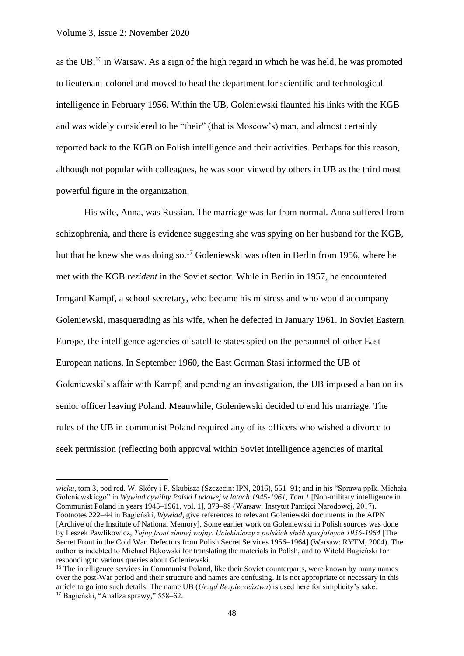as the UB, <sup>16</sup> in Warsaw. As a sign of the high regard in which he was held, he was promoted to lieutenant-colonel and moved to head the department for scientific and technological intelligence in February 1956. Within the UB, Goleniewski flaunted his links with the KGB and was widely considered to be "their" (that is Moscow's) man, and almost certainly reported back to the KGB on Polish intelligence and their activities. Perhaps for this reason, although not popular with colleagues, he was soon viewed by others in UB as the third most powerful figure in the organization.

His wife, Anna, was Russian. The marriage was far from normal. Anna suffered from schizophrenia, and there is evidence suggesting she was spying on her husband for the KGB, but that he knew she was doing so.<sup>17</sup> Goleniewski was often in Berlin from 1956, where he met with the KGB *rezident* in the Soviet sector. While in Berlin in 1957, he encountered Irmgard Kampf, a school secretary, who became his mistress and who would accompany Goleniewski, masquerading as his wife, when he defected in January 1961. In Soviet Eastern Europe, the intelligence agencies of satellite states spied on the personnel of other East European nations. In September 1960, the East German Stasi informed the UB of Goleniewski's affair with Kampf, and pending an investigation, the UB imposed a ban on its senior officer leaving Poland. Meanwhile, Goleniewski decided to end his marriage. The rules of the UB in communist Poland required any of its officers who wished a divorce to seek permission (reflecting both approval within Soviet intelligence agencies of marital

*wieku*, tom 3, pod red. W. Skóry i P. Skubisza (Szczecin: IPN, 2016), 551–91; and in his "Sprawa ppłk. Michała Goleniewskiego" in *Wywiad cywilny Polski Ludowej w latach 1945-1961, Tom 1* [Non-military intelligence in Communist Poland in years 1945–1961, vol. 1], 379–88 (Warsaw: Instytut Pamięci Narodowej, 2017). Footnotes 222–44 in Bagieński, *Wywiad*, give references to relevant Goleniewski documents in the AIPN [Archive of the Institute of National Memory]. Some earlier work on Goleniewski in Polish sources was done by Leszek Pawlikowicz, *Tajny front zimnej wojny. Uciekinierzy z polskich służb specjalnych 1956-1964* [The Secret Front in the Cold War. Defectors from Polish Secret Services 1956–1964] (Warsaw: RYTM, 2004). The author is indebted to Michael Bąkowski for translating the materials in Polish, and to Witold Bagieński for responding to various queries about Goleniewski.

<sup>&</sup>lt;sup>16</sup> The intelligence services in Communist Poland, like their Soviet counterparts, were known by many names over the post-War period and their structure and names are confusing. It is not appropriate or necessary in this article to go into such details. The name UB (*Urząd Bezpieczeństwa*) is used here for simplicity's sake. <sup>17</sup> Bagieński, "Analiza sprawy," 558–62.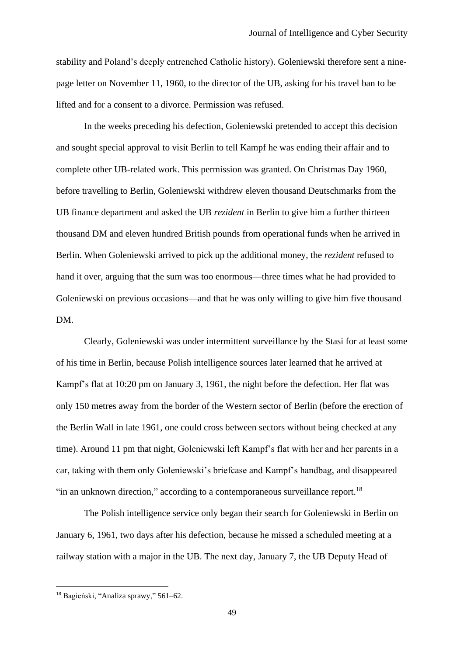stability and Poland's deeply entrenched Catholic history). Goleniewski therefore sent a ninepage letter on November 11, 1960, to the director of the UB, asking for his travel ban to be lifted and for a consent to a divorce. Permission was refused.

In the weeks preceding his defection, Goleniewski pretended to accept this decision and sought special approval to visit Berlin to tell Kampf he was ending their affair and to complete other UB-related work. This permission was granted. On Christmas Day 1960, before travelling to Berlin, Goleniewski withdrew eleven thousand Deutschmarks from the UB finance department and asked the UB *rezident* in Berlin to give him a further thirteen thousand DM and eleven hundred British pounds from operational funds when he arrived in Berlin. When Goleniewski arrived to pick up the additional money, the *rezident* refused to hand it over, arguing that the sum was too enormous—three times what he had provided to Goleniewski on previous occasions—and that he was only willing to give him five thousand DM.

Clearly, Goleniewski was under intermittent surveillance by the Stasi for at least some of his time in Berlin, because Polish intelligence sources later learned that he arrived at Kampf's flat at 10:20 pm on January 3, 1961, the night before the defection. Her flat was only 150 metres away from the border of the Western sector of Berlin (before the erection of the Berlin Wall in late 1961, one could cross between sectors without being checked at any time). Around 11 pm that night, Goleniewski left Kampf's flat with her and her parents in a car, taking with them only Goleniewski's briefcase and Kampf's handbag, and disappeared "in an unknown direction," according to a contemporaneous surveillance report.<sup>18</sup>

The Polish intelligence service only began their search for Goleniewski in Berlin on January 6, 1961, two days after his defection, because he missed a scheduled meeting at a railway station with a major in the UB. The next day, January 7, the UB Deputy Head of

<sup>18</sup> Bagieński, "Analiza sprawy," 561–62.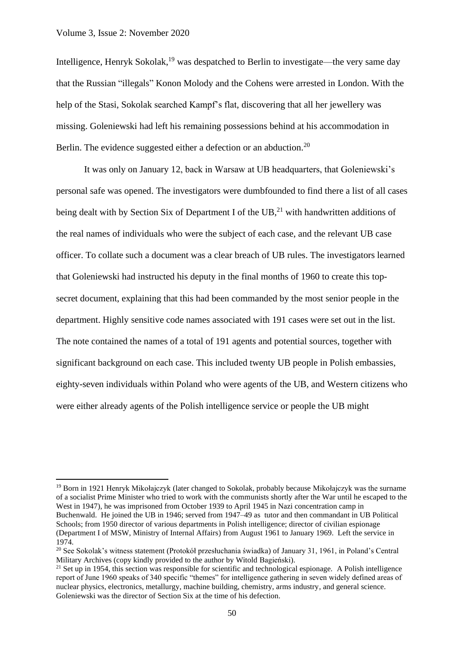Intelligence, Henryk Sokolak,<sup>19</sup> was despatched to Berlin to investigate—the very same day that the Russian "illegals" Konon Molody and the Cohens were arrested in London. With the help of the Stasi, Sokolak searched Kampf's flat, discovering that all her jewellery was missing. Goleniewski had left his remaining possessions behind at his accommodation in Berlin. The evidence suggested either a defection or an abduction.<sup>20</sup>

It was only on January 12, back in Warsaw at UB headquarters, that Goleniewski's personal safe was opened. The investigators were dumbfounded to find there a list of all cases being dealt with by Section Six of Department I of the UB,<sup>21</sup> with handwritten additions of the real names of individuals who were the subject of each case, and the relevant UB case officer. To collate such a document was a clear breach of UB rules. The investigators learned that Goleniewski had instructed his deputy in the final months of 1960 to create this topsecret document, explaining that this had been commanded by the most senior people in the department. Highly sensitive code names associated with 191 cases were set out in the list. The note contained the names of a total of 191 agents and potential sources, together with significant background on each case. This included twenty UB people in Polish embassies, eighty-seven individuals within Poland who were agents of the UB, and Western citizens who were either already agents of the Polish intelligence service or people the UB might

<sup>19</sup> Born in 1921 Henryk Mikołajczyk (later changed to Sokolak, probably because Mikołajczyk was the surname of a socialist Prime Minister who tried to work with the communists shortly after the War until he escaped to the West in 1947), he was imprisoned from October 1939 to April 1945 in Nazi concentration camp in Buchenwald. He joined the UB in 1946; served from 1947–49 as tutor and then commandant in UB Political Schools; from 1950 director of various departments in Polish intelligence; director of civilian espionage (Department I of MSW, Ministry of Internal Affairs) from August 1961 to January 1969. Left the service in 1974.

<sup>20</sup> See Sokolak's witness statement (Protokół przesłuchania świadka) of January 31, 1961, in Poland's Central Military Archives (copy kindly provided to the author by Witold Bagieński).

 $^{21}$  Set up in 1954, this section was responsible for scientific and technological espionage. A Polish intelligence report of June 1960 speaks of 340 specific "themes" for intelligence gathering in seven widely defined areas of nuclear physics, electronics, metallurgy, machine building, chemistry, arms industry, and general science. Goleniewski was the director of Section Six at the time of his defection.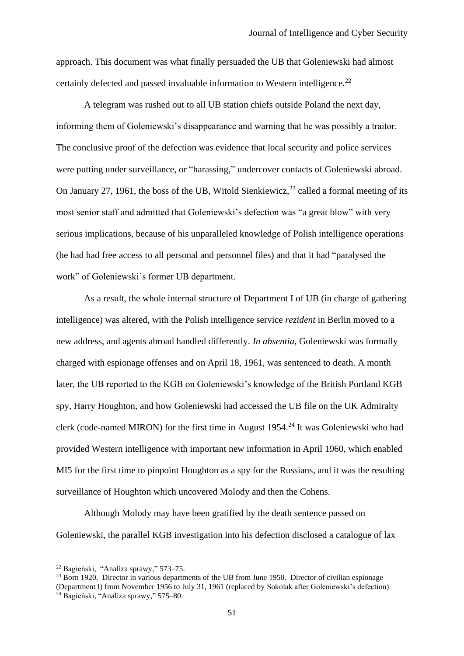approach. This document was what finally persuaded the UB that Goleniewski had almost certainly defected and passed invaluable information to Western intelligence.<sup>22</sup>

A telegram was rushed out to all UB station chiefs outside Poland the next day, informing them of Goleniewski's disappearance and warning that he was possibly a traitor. The conclusive proof of the defection was evidence that local security and police services were putting under surveillance, or "harassing," undercover contacts of Goleniewski abroad. On January 27, 1961, the boss of the UB, Witold Sienkiewicz, $^{23}$  called a formal meeting of its most senior staff and admitted that Goleniewski's defection was "a great blow" with very serious implications, because of his unparalleled knowledge of Polish intelligence operations (he had had free access to all personal and personnel files) and that it had "paralysed the work" of Goleniewski's former UB department.

As a result, the whole internal structure of Department I of UB (in charge of gathering intelligence) was altered, with the Polish intelligence service *rezident* in Berlin moved to a new address, and agents abroad handled differently. *In absentia*, Goleniewski was formally charged with espionage offenses and on April 18, 1961, was sentenced to death. A month later, the UB reported to the KGB on Goleniewski's knowledge of the British Portland KGB spy, Harry Houghton, and how Goleniewski had accessed the UB file on the UK Admiralty clerk (code-named MIRON) for the first time in August 1954.<sup>24</sup> It was Goleniewski who had provided Western intelligence with important new information in April 1960, which enabled MI5 for the first time to pinpoint Houghton as a spy for the Russians, and it was the resulting surveillance of Houghton which uncovered Molody and then the Cohens.

Although Molody may have been gratified by the death sentence passed on Goleniewski, the parallel KGB investigation into his defection disclosed a catalogue of lax

<sup>22</sup> Bagieński, "Analiza sprawy," 573–75.

<sup>&</sup>lt;sup>23</sup> Born 1920. Director in various departments of the UB from June 1950. Director of civilian espionage (Department I) from November 1956 to July 31, 1961 (replaced by Sokolak after Goleniewski's defection).

<sup>24</sup> Bagieński, "Analiza sprawy," 575–80.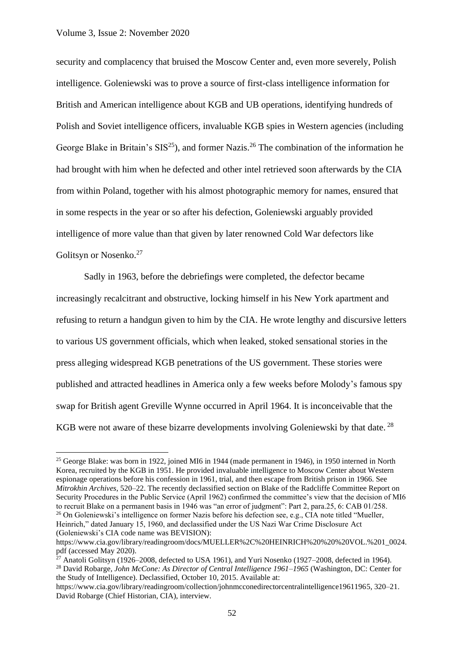security and complacency that bruised the Moscow Center and, even more severely, Polish intelligence. Goleniewski was to prove a source of first-class intelligence information for British and American intelligence about KGB and UB operations, identifying hundreds of Polish and Soviet intelligence officers, invaluable KGB spies in Western agencies (including George Blake in Britain's  $SIS^{25}$ ), and former Nazis.<sup>26</sup> The combination of the information he had brought with him when he defected and other intel retrieved soon afterwards by the CIA from within Poland, together with his almost photographic memory for names, ensured that in some respects in the year or so after his defection, Goleniewski arguably provided intelligence of more value than that given by later renowned Cold War defectors like Golitsyn or Nosenko.<sup>27</sup>

Sadly in 1963, before the debriefings were completed, the defector became increasingly recalcitrant and obstructive, locking himself in his New York apartment and refusing to return a handgun given to him by the CIA. He wrote lengthy and discursive letters to various US government officials, which when leaked, stoked sensational stories in the press alleging widespread KGB penetrations of the US government. These stories were published and attracted headlines in America only a few weeks before Molody's famous spy swap for British agent Greville Wynne occurred in April 1964. It is inconceivable that the KGB were not aware of these bizarre developments involving Goleniewski by that date.<sup>28</sup>

<sup>&</sup>lt;sup>25</sup> George Blake: was born in 1922, joined MI6 in 1944 (made permanent in 1946), in 1950 interned in North Korea, recruited by the KGB in 1951. He provided invaluable intelligence to Moscow Center about Western espionage operations before his confession in 1961, trial, and then escape from British prison in 1966. See *Mitrokhin Archives*, 520–22. The recently declassified section on Blake of the Radcliffe Committee Report on Security Procedures in the Public Service (April 1962) confirmed the committee's view that the decision of MI6 to recruit Blake on a permanent basis in 1946 was "an error of judgment": Part 2, para.25, 6: CAB 01/258. <sup>26</sup> On Goleniewski's intelligence on former Nazis before his defection see, e.g., CIA note titled "Mueller, Heinrich," dated January 15, 1960, and declassified under the US Nazi War Crime Disclosure Act (Goleniewski's CIA code name was BEVISION):

https://www.cia.gov/library/readingroom/docs/MUELLER%2C%20HEINRICH%20%20%20VOL.%201\_0024. pdf (accessed May 2020).

<sup>&</sup>lt;sup>27</sup> Anatoli Golitsyn (1926–2008, defected to USA 1961), and Yuri Nosenko (1927–2008, defected in 1964).

<sup>&</sup>lt;sup>28</sup> David Robarge, *John McCone: As Director of Central Intelligence 1961–1965* (Washington, DC: Center for the Study of Intelligence). Declassified, October 10, 2015. Available at:

https://www.cia.gov/library/readingroom/collection/johnmcconedirectorcentralintelligence19611965, 320–21. David Robarge (Chief Historian, CIA), interview.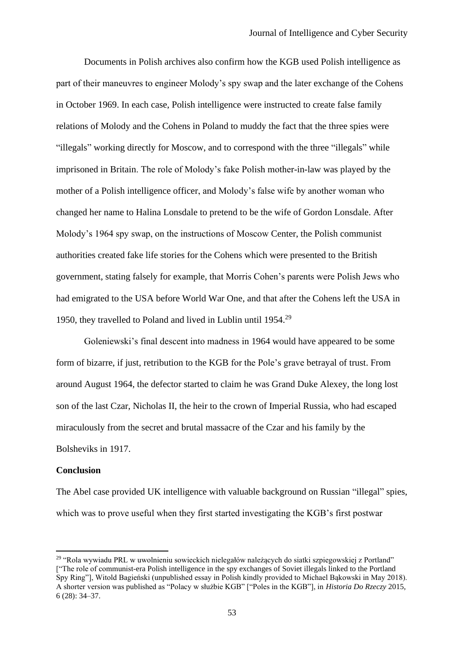Documents in Polish archives also confirm how the KGB used Polish intelligence as part of their maneuvres to engineer Molody's spy swap and the later exchange of the Cohens in October 1969. In each case, Polish intelligence were instructed to create false family relations of Molody and the Cohens in Poland to muddy the fact that the three spies were "illegals" working directly for Moscow, and to correspond with the three "illegals" while imprisoned in Britain. The role of Molody's fake Polish mother-in-law was played by the mother of a Polish intelligence officer, and Molody's false wife by another woman who changed her name to Halina Lonsdale to pretend to be the wife of Gordon Lonsdale. After Molody's 1964 spy swap, on the instructions of Moscow Center, the Polish communist authorities created fake life stories for the Cohens which were presented to the British government, stating falsely for example, that Morris Cohen's parents were Polish Jews who had emigrated to the USA before World War One, and that after the Cohens left the USA in 1950, they travelled to Poland and lived in Lublin until 1954.<sup>29</sup>

Goleniewski's final descent into madness in 1964 would have appeared to be some form of bizarre, if just, retribution to the KGB for the Pole's grave betrayal of trust. From around August 1964, the defector started to claim he was Grand Duke Alexey, the long lost son of the last Czar, Nicholas II, the heir to the crown of Imperial Russia, who had escaped miraculously from the secret and brutal massacre of the Czar and his family by the Bolsheviks in 1917.

## **Conclusion**

The Abel case provided UK intelligence with valuable background on Russian "illegal" spies, which was to prove useful when they first started investigating the KGB's first postwar

<sup>29</sup> "Rola wywiadu PRL w uwolnieniu sowieckich nielegałów należących do siatki szpiegowskiej z Portland" ["The role of communist-era Polish intelligence in the spy exchanges of Soviet illegals linked to the Portland Spy Ring"], Witold Bagieński (unpublished essay in Polish kindly provided to Michael Bąkowski in May 2018). A shorter version was published as "Polacy w służbie KGB" ["Poles in the KGB"], in *Historia Do Rzeczy* 2015, 6 (28): 34–37.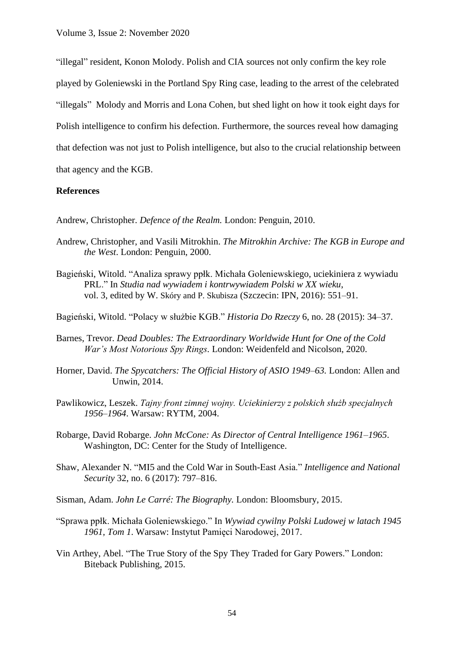"illegal" resident, Konon Molody. Polish and CIA sources not only confirm the key role played by Goleniewski in the Portland Spy Ring case, leading to the arrest of the celebrated "illegals" Molody and Morris and Lona Cohen, but shed light on how it took eight days for Polish intelligence to confirm his defection. Furthermore, the sources reveal how damaging that defection was not just to Polish intelligence, but also to the crucial relationship between that agency and the KGB.

## **References**

Andrew, Christopher. *Defence of the Realm.* London: Penguin, 2010.

- Andrew, Christopher, and Vasili Mitrokhin. *The Mitrokhin Archive: The KGB in Europe and the West*. London: Penguin, 2000.
- Bagieński, Witold. "Analiza sprawy ppłk. Michała Goleniewskiego, uciekiniera z wywiadu PRL." In *Studia nad wywiadem i kontrwywiadem Polski w XX wieku*, vol. 3, edited by W. Skóry and P. Skubisza (Szczecin: IPN, 2016): 551–91.
- Bagieński, Witold. "Polacy w służbie KGB." *Historia Do Rzeczy* 6, no. 28 (2015): 34–37.
- Barnes, Trevor. *Dead Doubles: The Extraordinary Worldwide Hunt for One of the Cold War's Most Notorious Spy Rings.* London: Weidenfeld and Nicolson, 2020.
- Horner, David. *The Spycatchers: The Official History of ASIO 1949*–*63.* London: Allen and Unwin, 2014.
- Pawlikowicz, Leszek. *Tajny front zimnej wojny. Uciekinierzy z polskich służb specjalnych 1956*–*1964*. Warsaw: RYTM, 2004.
- Robarge, David Robarge. *John McCone: As Director of Central Intelligence 1961–1965*. Washington, DC: Center for the Study of Intelligence.
- Shaw, Alexander N. "MI5 and the Cold War in South-East Asia." *Intelligence and National Security* 32, no. 6 (2017): 797–816.
- Sisman, Adam. *John Le Carré: The Biography.* London: Bloomsbury, 2015.
- "Sprawa ppłk. Michała Goleniewskiego." In *Wywiad cywilny Polski Ludowej w latach 1945 1961, Tom 1*. Warsaw: Instytut Pamięci Narodowej, 2017.
- Vin Arthey, Abel. "The True Story of the Spy They Traded for Gary Powers." London: Biteback Publishing, 2015.